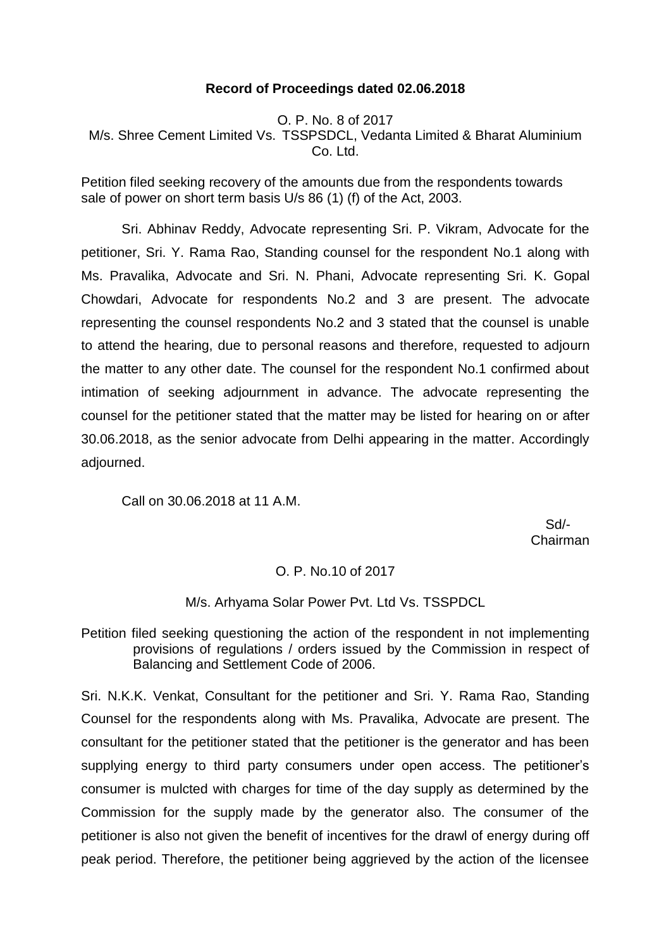## **Record of Proceedings dated 02.06.2018**

O. P. No. 8 of 2017 M/s. Shree Cement Limited Vs. TSSPSDCL, Vedanta Limited & Bharat Aluminium Co. Ltd.

Petition filed seeking recovery of the amounts due from the respondents towards sale of power on short term basis U/s 86 (1) (f) of the Act, 2003.

Sri. Abhinav Reddy, Advocate representing Sri. P. Vikram, Advocate for the petitioner, Sri. Y. Rama Rao, Standing counsel for the respondent No.1 along with Ms. Pravalika, Advocate and Sri. N. Phani, Advocate representing Sri. K. Gopal Chowdari, Advocate for respondents No.2 and 3 are present. The advocate representing the counsel respondents No.2 and 3 stated that the counsel is unable to attend the hearing, due to personal reasons and therefore, requested to adjourn the matter to any other date. The counsel for the respondent No.1 confirmed about intimation of seeking adjournment in advance. The advocate representing the counsel for the petitioner stated that the matter may be listed for hearing on or after 30.06.2018, as the senior advocate from Delhi appearing in the matter. Accordingly adjourned.

Call on 30.06.2018 at 11 A.M.

 Sd/- Chairman

### O. P. No.10 of 2017

### M/s. Arhyama Solar Power Pvt. Ltd Vs. TSSPDCL

Petition filed seeking questioning the action of the respondent in not implementing provisions of regulations / orders issued by the Commission in respect of Balancing and Settlement Code of 2006.

Sri. N.K.K. Venkat, Consultant for the petitioner and Sri. Y. Rama Rao, Standing Counsel for the respondents along with Ms. Pravalika, Advocate are present. The consultant for the petitioner stated that the petitioner is the generator and has been supplying energy to third party consumers under open access. The petitioner's consumer is mulcted with charges for time of the day supply as determined by the Commission for the supply made by the generator also. The consumer of the petitioner is also not given the benefit of incentives for the drawl of energy during off peak period. Therefore, the petitioner being aggrieved by the action of the licensee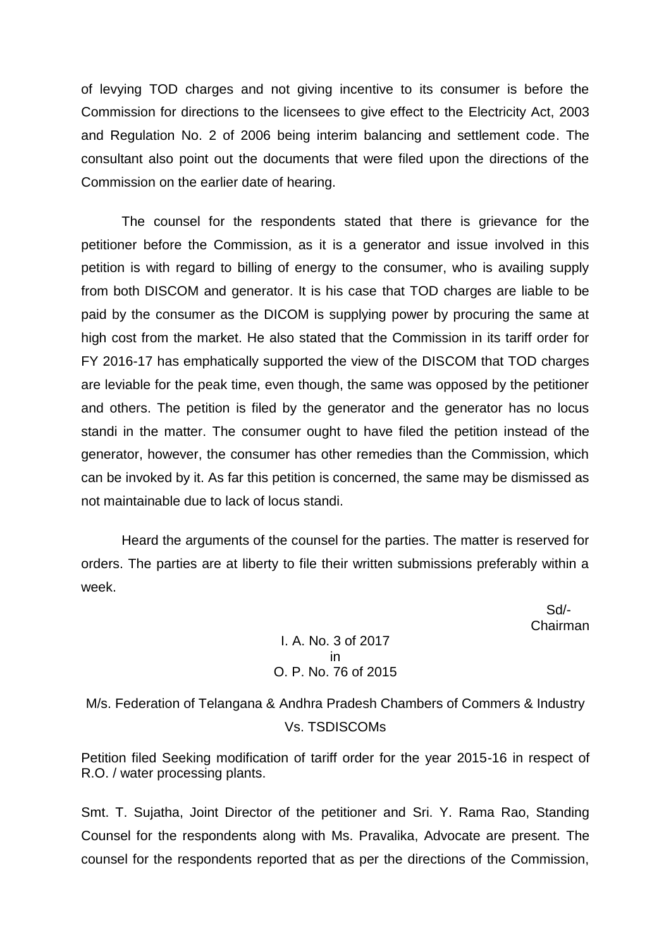of levying TOD charges and not giving incentive to its consumer is before the Commission for directions to the licensees to give effect to the Electricity Act, 2003 and Regulation No. 2 of 2006 being interim balancing and settlement code. The consultant also point out the documents that were filed upon the directions of the Commission on the earlier date of hearing.

The counsel for the respondents stated that there is grievance for the petitioner before the Commission, as it is a generator and issue involved in this petition is with regard to billing of energy to the consumer, who is availing supply from both DISCOM and generator. It is his case that TOD charges are liable to be paid by the consumer as the DICOM is supplying power by procuring the same at high cost from the market. He also stated that the Commission in its tariff order for FY 2016-17 has emphatically supported the view of the DISCOM that TOD charges are leviable for the peak time, even though, the same was opposed by the petitioner and others. The petition is filed by the generator and the generator has no locus standi in the matter. The consumer ought to have filed the petition instead of the generator, however, the consumer has other remedies than the Commission, which can be invoked by it. As far this petition is concerned, the same may be dismissed as not maintainable due to lack of locus standi.

Heard the arguments of the counsel for the parties. The matter is reserved for orders. The parties are at liberty to file their written submissions preferably within a week.

> Sd/- Chairman

I. A. No. 3 of 2017 in O. P. No. 76 of 2015

M/s. Federation of Telangana & Andhra Pradesh Chambers of Commers & Industry Vs. TSDISCOMs

Petition filed Seeking modification of tariff order for the year 2015-16 in respect of R.O. / water processing plants.

Smt. T. Sujatha, Joint Director of the petitioner and Sri. Y. Rama Rao, Standing Counsel for the respondents along with Ms. Pravalika, Advocate are present. The counsel for the respondents reported that as per the directions of the Commission,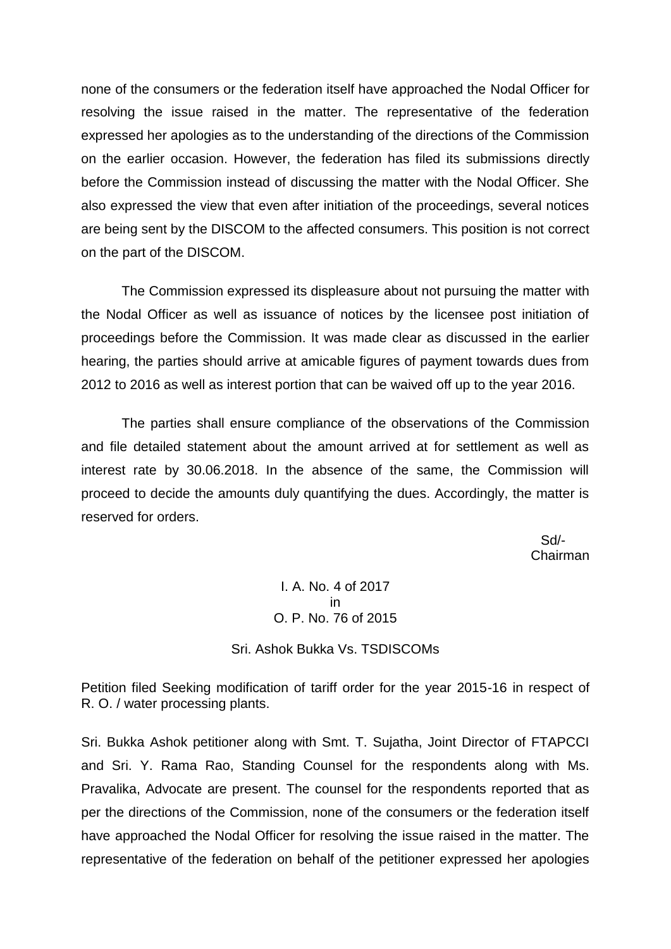none of the consumers or the federation itself have approached the Nodal Officer for resolving the issue raised in the matter. The representative of the federation expressed her apologies as to the understanding of the directions of the Commission on the earlier occasion. However, the federation has filed its submissions directly before the Commission instead of discussing the matter with the Nodal Officer. She also expressed the view that even after initiation of the proceedings, several notices are being sent by the DISCOM to the affected consumers. This position is not correct on the part of the DISCOM.

The Commission expressed its displeasure about not pursuing the matter with the Nodal Officer as well as issuance of notices by the licensee post initiation of proceedings before the Commission. It was made clear as discussed in the earlier hearing, the parties should arrive at amicable figures of payment towards dues from 2012 to 2016 as well as interest portion that can be waived off up to the year 2016.

The parties shall ensure compliance of the observations of the Commission and file detailed statement about the amount arrived at for settlement as well as interest rate by 30.06.2018. In the absence of the same, the Commission will proceed to decide the amounts duly quantifying the dues. Accordingly, the matter is reserved for orders.

 Sd/- Chairman

> I. A. No. 4 of 2017 in O. P. No. 76 of 2015

Sri. Ashok Bukka Vs. TSDISCOMs

Petition filed Seeking modification of tariff order for the year 2015-16 in respect of R. O. / water processing plants.

Sri. Bukka Ashok petitioner along with Smt. T. Sujatha, Joint Director of FTAPCCI and Sri. Y. Rama Rao, Standing Counsel for the respondents along with Ms. Pravalika, Advocate are present. The counsel for the respondents reported that as per the directions of the Commission, none of the consumers or the federation itself have approached the Nodal Officer for resolving the issue raised in the matter. The representative of the federation on behalf of the petitioner expressed her apologies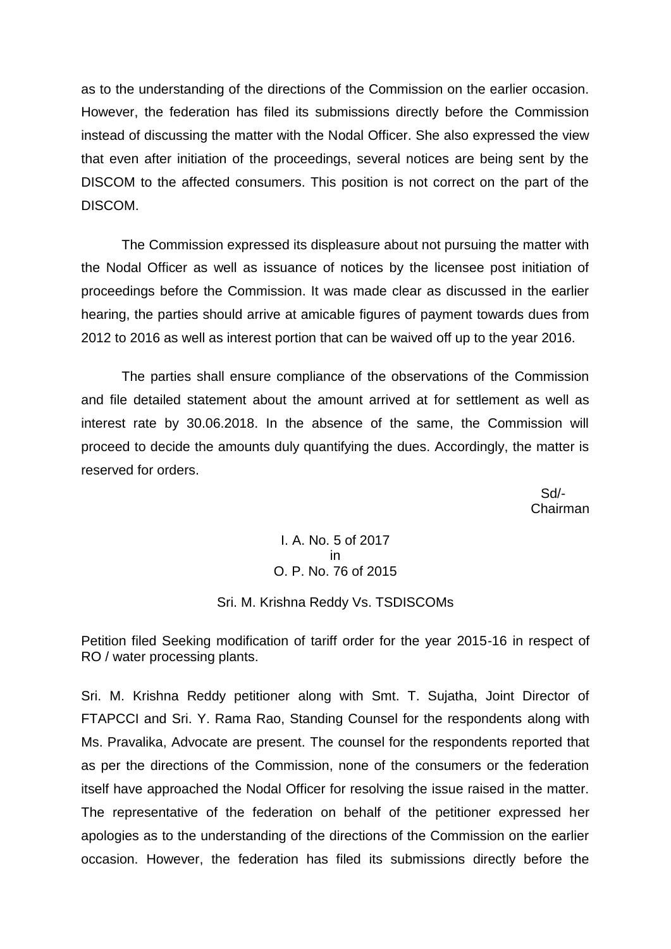as to the understanding of the directions of the Commission on the earlier occasion. However, the federation has filed its submissions directly before the Commission instead of discussing the matter with the Nodal Officer. She also expressed the view that even after initiation of the proceedings, several notices are being sent by the DISCOM to the affected consumers. This position is not correct on the part of the DISCOM.

The Commission expressed its displeasure about not pursuing the matter with the Nodal Officer as well as issuance of notices by the licensee post initiation of proceedings before the Commission. It was made clear as discussed in the earlier hearing, the parties should arrive at amicable figures of payment towards dues from 2012 to 2016 as well as interest portion that can be waived off up to the year 2016.

The parties shall ensure compliance of the observations of the Commission and file detailed statement about the amount arrived at for settlement as well as interest rate by 30.06.2018. In the absence of the same, the Commission will proceed to decide the amounts duly quantifying the dues. Accordingly, the matter is reserved for orders.

 Sd/- Chairman

> I. A. No. 5 of 2017 in O. P. No. 76 of 2015

#### Sri. M. Krishna Reddy Vs. TSDISCOMs

Petition filed Seeking modification of tariff order for the year 2015-16 in respect of RO / water processing plants.

Sri. M. Krishna Reddy petitioner along with Smt. T. Sujatha, Joint Director of FTAPCCI and Sri. Y. Rama Rao, Standing Counsel for the respondents along with Ms. Pravalika, Advocate are present. The counsel for the respondents reported that as per the directions of the Commission, none of the consumers or the federation itself have approached the Nodal Officer for resolving the issue raised in the matter. The representative of the federation on behalf of the petitioner expressed her apologies as to the understanding of the directions of the Commission on the earlier occasion. However, the federation has filed its submissions directly before the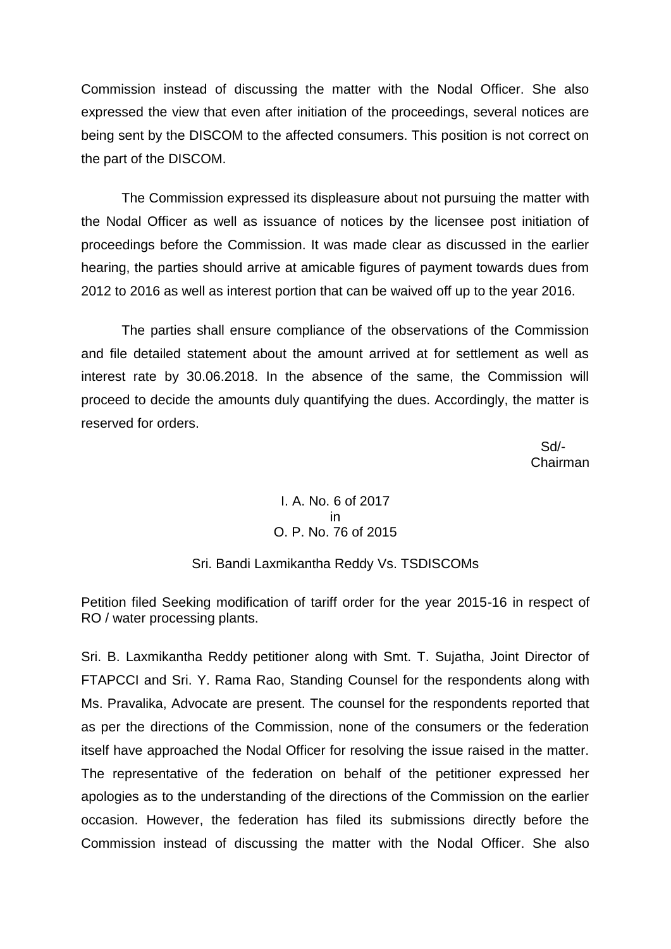Commission instead of discussing the matter with the Nodal Officer. She also expressed the view that even after initiation of the proceedings, several notices are being sent by the DISCOM to the affected consumers. This position is not correct on the part of the DISCOM.

The Commission expressed its displeasure about not pursuing the matter with the Nodal Officer as well as issuance of notices by the licensee post initiation of proceedings before the Commission. It was made clear as discussed in the earlier hearing, the parties should arrive at amicable figures of payment towards dues from 2012 to 2016 as well as interest portion that can be waived off up to the year 2016.

The parties shall ensure compliance of the observations of the Commission and file detailed statement about the amount arrived at for settlement as well as interest rate by 30.06.2018. In the absence of the same, the Commission will proceed to decide the amounts duly quantifying the dues. Accordingly, the matter is reserved for orders.

 Sd/- Chairman

## I. A. No. 6 of 2017 in O. P. No. 76 of 2015

### Sri. Bandi Laxmikantha Reddy Vs. TSDISCOMs

Petition filed Seeking modification of tariff order for the year 2015-16 in respect of RO / water processing plants.

Sri. B. Laxmikantha Reddy petitioner along with Smt. T. Sujatha, Joint Director of FTAPCCI and Sri. Y. Rama Rao, Standing Counsel for the respondents along with Ms. Pravalika, Advocate are present. The counsel for the respondents reported that as per the directions of the Commission, none of the consumers or the federation itself have approached the Nodal Officer for resolving the issue raised in the matter. The representative of the federation on behalf of the petitioner expressed her apologies as to the understanding of the directions of the Commission on the earlier occasion. However, the federation has filed its submissions directly before the Commission instead of discussing the matter with the Nodal Officer. She also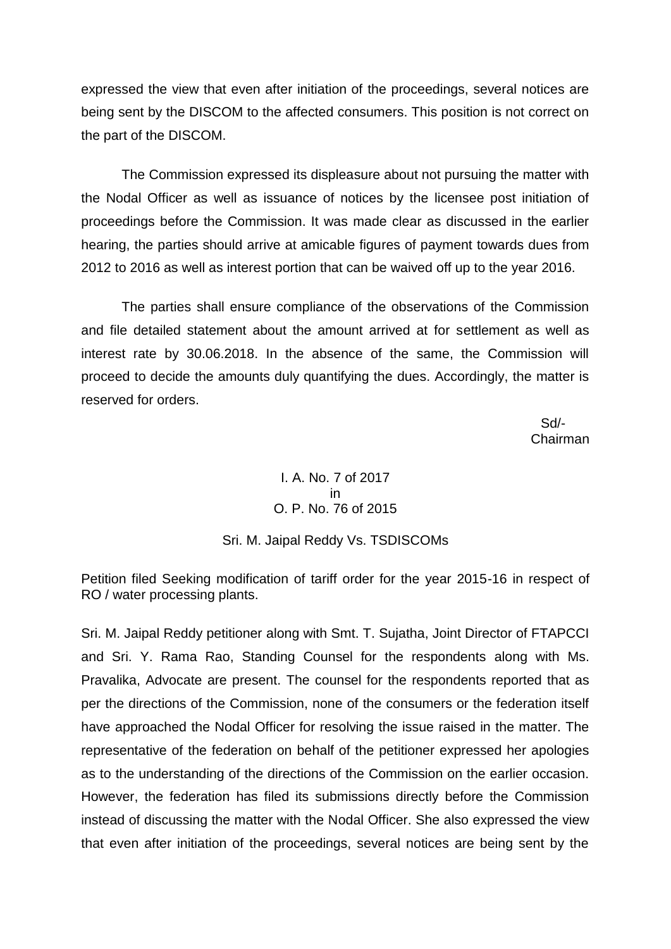expressed the view that even after initiation of the proceedings, several notices are being sent by the DISCOM to the affected consumers. This position is not correct on the part of the DISCOM.

The Commission expressed its displeasure about not pursuing the matter with the Nodal Officer as well as issuance of notices by the licensee post initiation of proceedings before the Commission. It was made clear as discussed in the earlier hearing, the parties should arrive at amicable figures of payment towards dues from 2012 to 2016 as well as interest portion that can be waived off up to the year 2016.

The parties shall ensure compliance of the observations of the Commission and file detailed statement about the amount arrived at for settlement as well as interest rate by 30.06.2018. In the absence of the same, the Commission will proceed to decide the amounts duly quantifying the dues. Accordingly, the matter is reserved for orders.

 Sd/- Chairman

## I. A. No. 7 of 2017 in O. P. No. 76 of 2015

### Sri. M. Jaipal Reddy Vs. TSDISCOMs

Petition filed Seeking modification of tariff order for the year 2015-16 in respect of RO / water processing plants.

Sri. M. Jaipal Reddy petitioner along with Smt. T. Sujatha, Joint Director of FTAPCCI and Sri. Y. Rama Rao, Standing Counsel for the respondents along with Ms. Pravalika, Advocate are present. The counsel for the respondents reported that as per the directions of the Commission, none of the consumers or the federation itself have approached the Nodal Officer for resolving the issue raised in the matter. The representative of the federation on behalf of the petitioner expressed her apologies as to the understanding of the directions of the Commission on the earlier occasion. However, the federation has filed its submissions directly before the Commission instead of discussing the matter with the Nodal Officer. She also expressed the view that even after initiation of the proceedings, several notices are being sent by the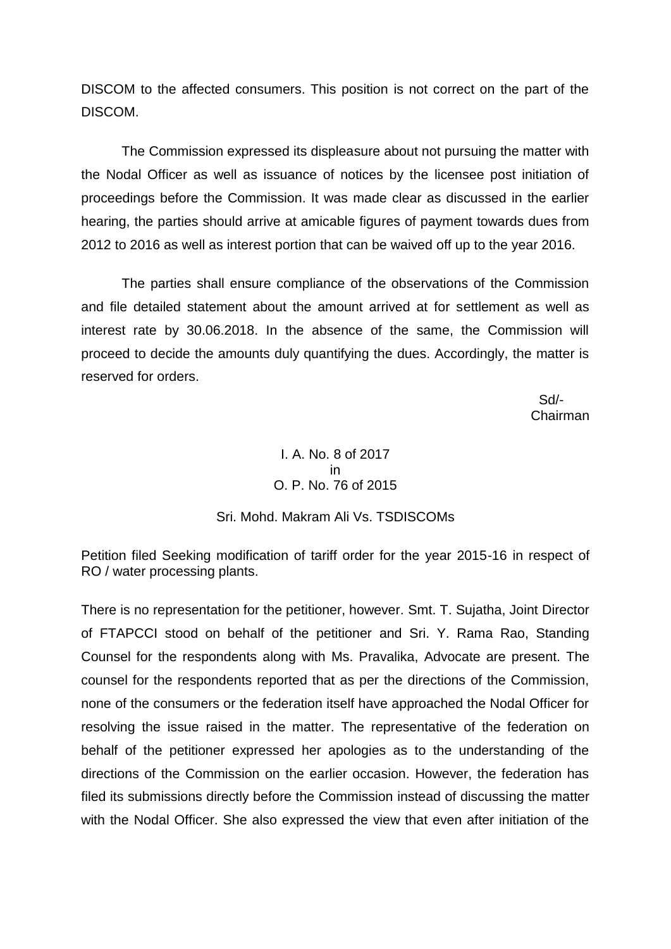DISCOM to the affected consumers. This position is not correct on the part of the DISCOM.

The Commission expressed its displeasure about not pursuing the matter with the Nodal Officer as well as issuance of notices by the licensee post initiation of proceedings before the Commission. It was made clear as discussed in the earlier hearing, the parties should arrive at amicable figures of payment towards dues from 2012 to 2016 as well as interest portion that can be waived off up to the year 2016.

The parties shall ensure compliance of the observations of the Commission and file detailed statement about the amount arrived at for settlement as well as interest rate by 30.06.2018. In the absence of the same, the Commission will proceed to decide the amounts duly quantifying the dues. Accordingly, the matter is reserved for orders.

 Sd/- Chairman

# I. A. No. 8 of 2017 in O. P. No. 76 of 2015

### Sri. Mohd. Makram Ali Vs. TSDISCOMs

Petition filed Seeking modification of tariff order for the year 2015-16 in respect of RO / water processing plants.

There is no representation for the petitioner, however. Smt. T. Sujatha, Joint Director of FTAPCCI stood on behalf of the petitioner and Sri. Y. Rama Rao, Standing Counsel for the respondents along with Ms. Pravalika, Advocate are present. The counsel for the respondents reported that as per the directions of the Commission, none of the consumers or the federation itself have approached the Nodal Officer for resolving the issue raised in the matter. The representative of the federation on behalf of the petitioner expressed her apologies as to the understanding of the directions of the Commission on the earlier occasion. However, the federation has filed its submissions directly before the Commission instead of discussing the matter with the Nodal Officer. She also expressed the view that even after initiation of the